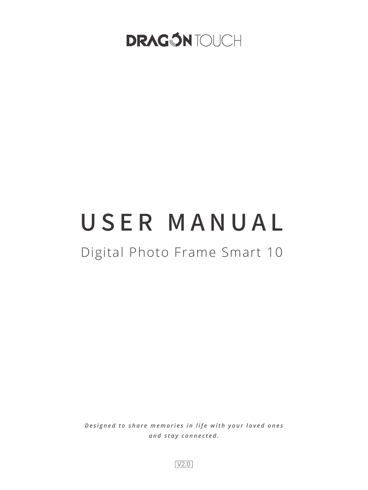# **DRAGÓN TOUCH**

# USER MANUAL

# Digital Photo Frame Smart 10

*Designed to share memories in life with your loved ones and stay connected.*

V2.0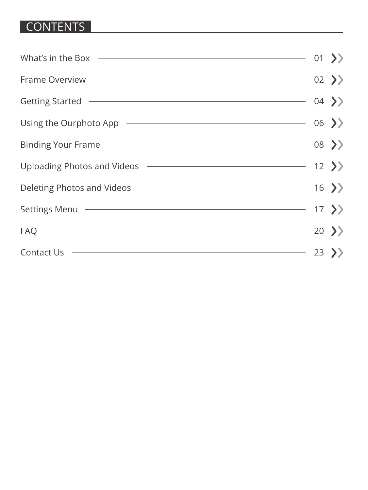# CONTENTS

| What's in the Box $\overline{\hspace{1cm}}$ 01 >>                                                                                                                                                                                   |  |
|-------------------------------------------------------------------------------------------------------------------------------------------------------------------------------------------------------------------------------------|--|
| Frame Overview $\longrightarrow$                                                                                                                                                                                                    |  |
| Getting Started $\longrightarrow$                                                                                                                                                                                                   |  |
| Using the Ourphoto App ——————————————————————— 06 >>                                                                                                                                                                                |  |
| Binding Your Frame <u>- and Communications</u> on the Constantine on the Constantine on the Constantine on the Constantine on the Constantine on the Constantine on the Constantine on the Constantine on the Constantine on the Co |  |
|                                                                                                                                                                                                                                     |  |
| Deleting Photos and Videos <b>Constanting Constanting Photos and Videos</b> 2                                                                                                                                                       |  |
|                                                                                                                                                                                                                                     |  |
| FAQ $\longrightarrow$                                                                                                                                                                                                               |  |
| Contact Us $\longrightarrow$ 23 >>                                                                                                                                                                                                  |  |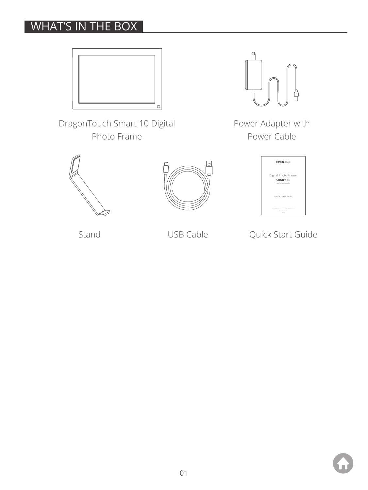# WHAT'S IN THE BOX



DragonTouch Smart 10 Digital Photo Frame



Power Adapter with Power Cable







Stand USB Cable **Quick Start Guide**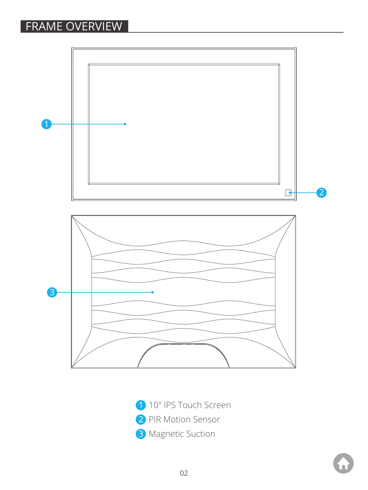# FRAME OVERVIEW



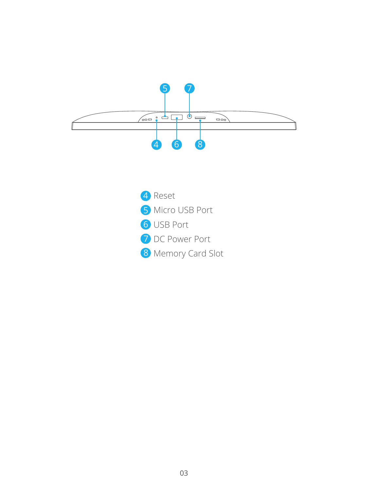

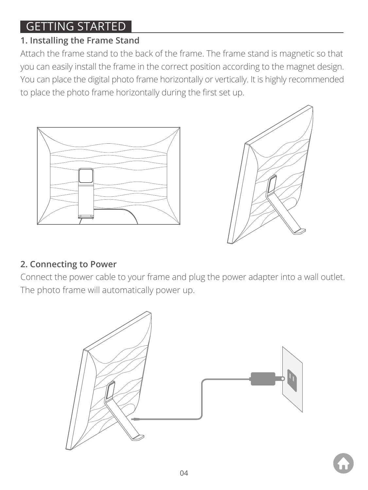# GETTING STARTED

# **1. Installing the Frame Stand**

Attach the frame stand to the back of the frame. The frame stand is magnetic so that you can easily install the frame in the correct position according to the magnet design. You can place the digital photo frame horizontally or vertically. It is highly recommended to place the photo frame horizontally during the first set up.





# **2. Connecting to Power**

Connect the power cable to your frame and plug the power adapter into a wall outlet. The photo frame will automatically power up.

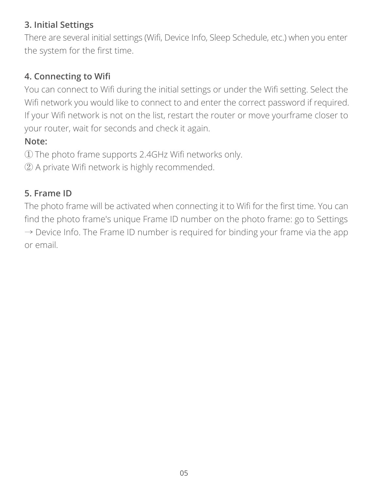#### **3. Initial Settings**

There are several initial settings (Wifi, Device Info, Sleep Schedule, etc.) when you enter the system for the first time.

# **4. Connecting to Wifi**

You can connect to Wifi during the initial settings or under the Wifi setting. Select the Wifi network you would like to connect to and enter the correct password if required. If your Wifi network is not on the list, restart the router or move yourframe closer to your router, wait for seconds and check it again.

# **Note:**

① The photo frame supports 2.4GHz Wifi networks only.

② A private Wifi network is highly recommended.

# **5. Frame ID**

The photo frame will be activated when connecting it to Wifi for the first time. You can find the photo frame's unique Frame ID number on the photo frame: go to Settings  $\rightarrow$  Device Info. The Frame ID number is required for binding your frame via the app or email.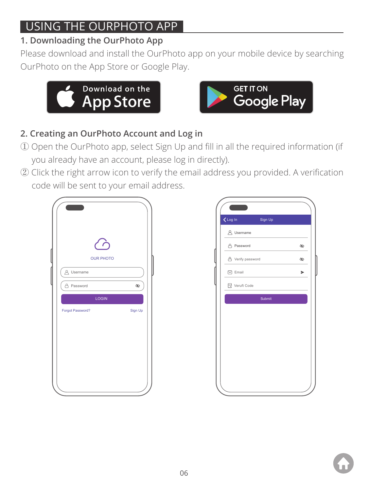# USING THE OURPHOTO APP

# **1. Downloading the OurPhoto App**

Please download and install the OurPhoto app on your mobile device by searching OurPhoto on the App Store or Google Play.





# **2. Creating an OurPhoto Account and Log in**

- ① Open the OurPhoto app, select Sign Up and fill in all the required information (if you already have an account, please log in directly).
- ② Click the right arrow icon to verify the email address you provided. A verification code will be sent to your email address.



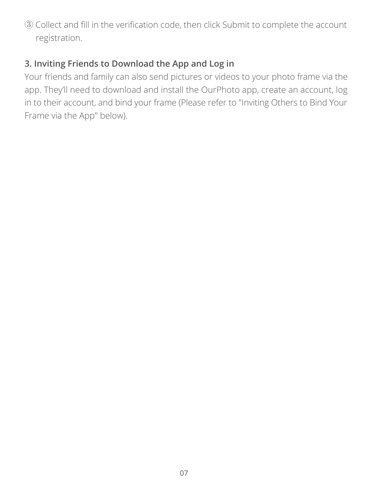③ Collect and fill in the verification code, then click Submit to complete the account registration.

#### **3. Inviting Friends to Download the App and Log in**

Your friends and family can also send pictures or videos to your photo frame via the app. They'll need to download and install the OurPhoto app, create an account, log in to their account, and bind your frame (Please refer to "Inviting Others to Bind Your Frame via the App" below).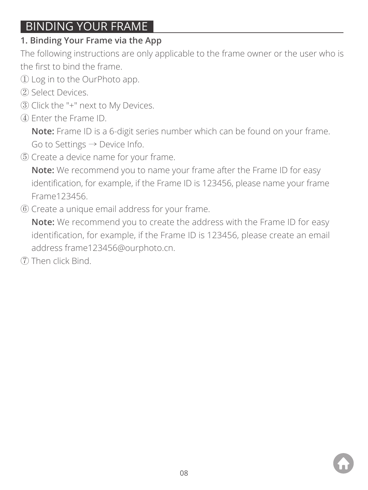# BINDING YOUR FRAME

# **1. Binding Your Frame via the App**

The following instructions are only applicable to the frame owner or the user who is the first to bind the frame.

- ① Log in to the OurPhoto app.
- ② Select Devices.
- ③ Click the "+" next to My Devices.
- ④ Enter the Frame ID.

 **Note:** Frame ID is a 6-digit series number which can be found on your frame. Go to Settings → Device Info.

⑤ Create a device name for your frame.

 **Note:** We recommend you to name your frame after the Frame ID for easy identification, for example, if the Frame ID is 123456, please name your frame Frame123456.

⑥ Create a unique email address for your frame.

 **Note:** We recommend you to create the address with the Frame ID for easy identification, for example, if the Frame ID is 123456, please create an email address frame123456@ourphoto.cn.

⑦ Then click Bind.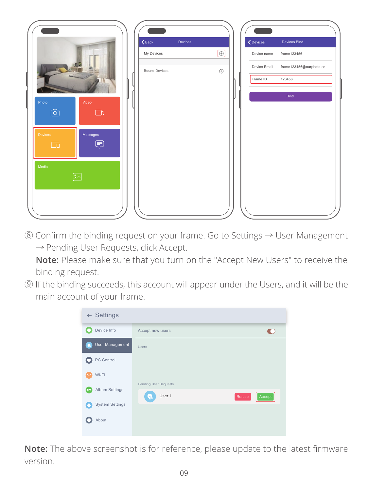

⑧ Confirm the binding request on your frame. Go to Settings → User Management → Pending User Requests, click Accept.

 **Note:** Please make sure that you turn on the "Accept New Users" to receive the binding request.

⑨ If the binding succeeds, this account will appear under the Users, and it will be the main account of your frame.



**Note:** The above screenshot is for reference, please update to the latest firmware version.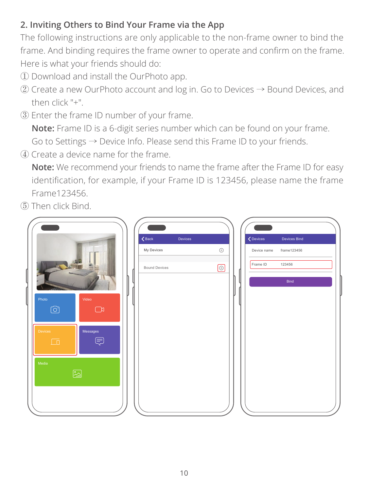# **2. Inviting Others to Bind Your Frame via the App**

The following instructions are only applicable to the non-frame owner to bind the frame. And binding requires the frame owner to operate and confirm on the frame. Here is what your friends should do:

- ① Download and install the OurPhoto app.
- ② Create a new OurPhoto account and log in. Go to Devices → Bound Devices, and then click "+".
- ③ Enter the frame ID number of your frame.

 **Note:** Frame ID is a 6-digit series number which can be found on your frame. Go to Settings → Device Info. Please send this Frame ID to your friends.

④ Create a device name for the frame.

 **Note:** We recommend your friends to name the frame after the Frame ID for easy identification, for example, if your Frame ID is 123456, please name the frame Frame123456.

⑤ Then click Bind.

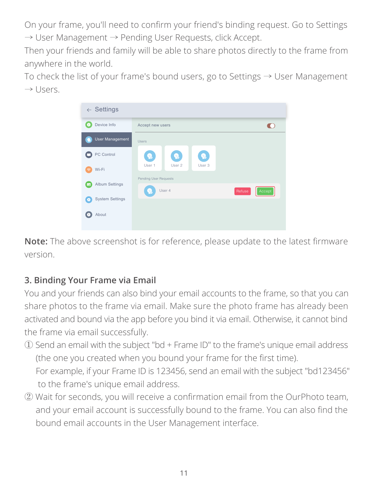On your frame, you'll need to confirm your friend's binding request. Go to Settings → User Management → Pending User Requests, click Accept.

Then your friends and family will be able to share photos directly to the frame from anywhere in the world.

To check the list of your frame's bound users, go to Settings → User Management  $\rightarrow$  Users.



**Note:** The above screenshot is for reference, please update to the latest firmware version.

# **3. Binding Your Frame via Email**

You and your friends can also bind your email accounts to the frame, so that you can share photos to the frame via email. Make sure the photo frame has already been activated and bound via the app before you bind it via email. Otherwise, it cannot bind the frame via email successfully.

- ① Send an email with the subject "bd + Frame ID" to the frame's unique email address (the one you created when you bound your frame for the first time). For example, if your Frame ID is 123456, send an email with the subject "bd123456" to the frame's unique email address.
- ② Wait for seconds, you will receive a confirmation email from the OurPhoto team, and your email account is successfully bound to the frame. You can also find the bound email accounts in the User Management interface.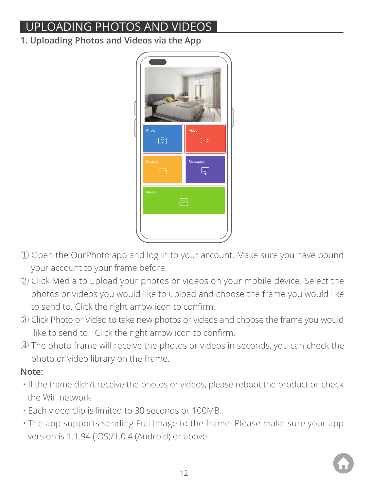# UPLOADING PHOTOS AND VIDEOS

**1. Uploading Photos and Videos via the App**



- ① Open the OurPhoto app and log in to your account. Make sure you have bound your account to your frame before.
- ② Click Media to upload your photos or videos on your mobile device. Select the photos or videos you would like to upload and choose the frame you would like to send to. Click the right arrow icon to confirm.
- ③ Click Photo or Video to take new photos or videos and choose the frame you would like to send to. Click the right arrow icon to confirm.
- ④ The photo frame will receive the photos or videos in seconds, you can check the photo or video library on the frame.

## **Note:**

- If the frame didn't receive the photos or videos, please reboot the product or check the Wifi network.
- Each video clip is limited to 30 seconds or 100MB.
- The app supports sending Full Image to the frame. Please make sure your app version is 1.1.94 (iOS)/1.0.4 (Android) or above.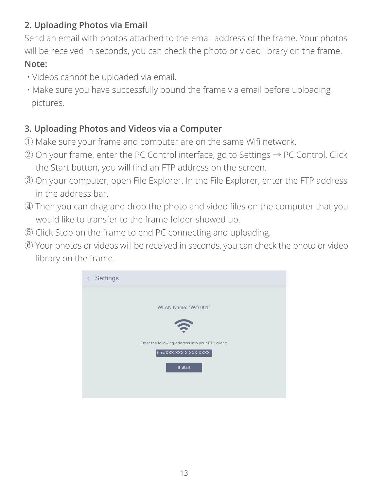# **2. Uploading Photos via Email**

Send an email with photos attached to the email address of the frame. Your photos will be received in seconds, you can check the photo or video library on the frame.

#### **Note:**

- Videos cannot be uploaded via email.
- Make sure you have successfully bound the frame via email before uploading pictures.

# **3. Uploading Photos and Videos via a Computer**

- ① Make sure your frame and computer are on the same Wifi network.
- ② On your frame, enter the PC Control interface, go to Settings → PC Control. Click the Start button, you will find an FTP address on the screen.
- ③ On your computer, open File Explorer. In the File Explorer, enter the FTP address in the address bar.
- ④ Then you can drag and drop the photo and video files on the computer that you would like to transfer to the frame folder showed up.
- ⑤ Click Stop on the frame to end PC connecting and uploading.
- ⑥ Your photos or videos will be received in seconds, you can check the photo or video library on the frame.

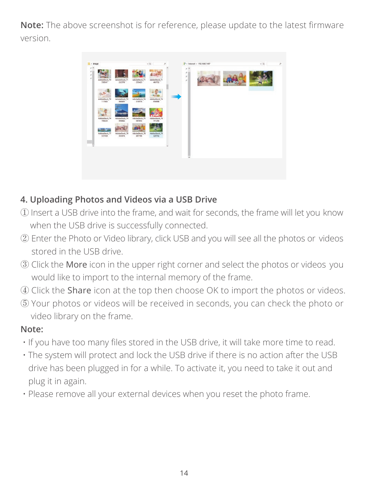**Note:** The above screenshot is for reference, please update to the latest firmware version.



#### **4. Uploading Photos and Videos via a USB Drive**

- ① Insert a USB drive into the frame, and wait for seconds, the frame will let you know when the USB drive is successfully connected.
- ② Enter the Photo or Video library, click USB and you will see all the photos or videos stored in the USB drive.
- ③ Click the More icon in the upper right corner and select the photos or videos you would like to import to the internal memory of the frame.
- ④ Click the Share icon at the top then choose OK to import the photos or videos.
- ⑤ Your photos or videos will be received in seconds, you can check the photo or video library on the frame.

#### **Note:**

- If you have too many files stored in the USB drive, it will take more time to read.
- The system will protect and lock the USB drive if there is no action after the USB drive has been plugged in for a while. To activate it, you need to take it out and plug it in again.
- Please remove all your external devices when you reset the photo frame.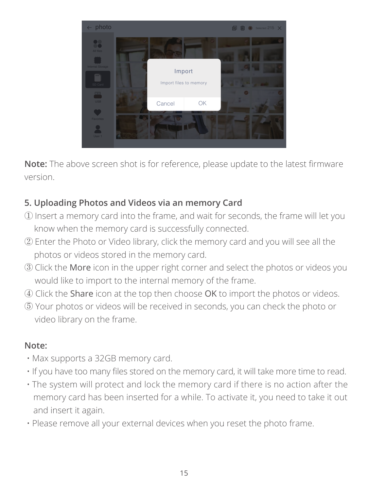

**Note:** The above screen shot is for reference, please update to the latest firmware version.

# **5. Uploading Photos and Videos via an memory Card**

- ① Insert a memory card into the frame, and wait for seconds, the frame will let you know when the memory card is successfully connected.
- ② Enter the Photo or Video library, click the memory card and you will see all the photos or videos stored in the memory card.
- ③ Click the More icon in the upper right corner and select the photos or videos you would like to import to the internal memory of the frame.
- ④ Click the Share icon at the top then choose OK to import the photos or videos.
- ⑤ Your photos or videos will be received in seconds, you can check the photo or video library on the frame.

#### **Note:**

- Max supports a 32GB memory card.
- If you have too many files stored on the memory card, it will take more time to read.
- The system will protect and lock the memory card if there is no action after the memory card has been inserted for a while. To activate it, you need to take it out and insert it again.
- Please remove all your external devices when you reset the photo frame.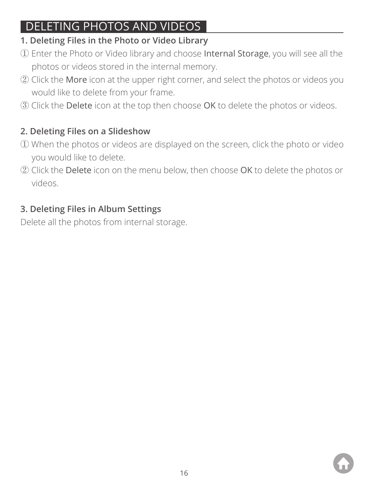# DELETING PHOTOS AND VIDEOS

# **1. Deleting Files in the Photo or Video Library**

- ① Enter the Photo or Video library and choose Internal Storage, you will see all the photos or videos stored in the internal memory.
- ② Click the More icon at the upper right corner, and select the photos or videos you would like to delete from your frame.
- ③ Click the Delete icon at the top then choose OK to delete the photos or videos.

# **2. Deleting Files on a Slideshow**

- ① When the photos or videos are displayed on the screen, click the photo or video you would like to delete.
- ② Click the Delete icon on the menu below, then choose OK to delete the photos or videos.

# **3. Deleting Files in Album Settings**

Delete all the photos from internal storage.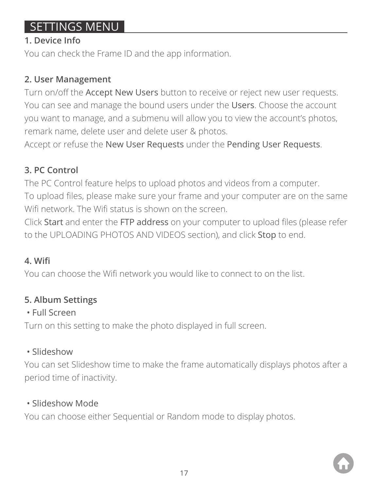# SETTINGS MENU

#### **1. Device Info**

You can check the Frame ID and the ann information.

#### **2. User Management**

Turn on/off the Accept New Users button to receive or reject new user requests. You can see and manage the bound users under the Users. Choose the account you want to manage, and a submenu will allow you to view the account's photos, remark name, delete user and delete user & photos.

Accept or refuse the New User Requests under the Pending User Requests.

# **3. PC Control**

The PC Control feature helps to upload photos and videos from a computer. To upload files, please make sure your frame and your computer are on the same Wifi network. The Wifi status is shown on the screen.

Click Start and enter the FTP address on your computer to upload files (please refer to the UPLOADING PHOTOS AND VIDEOS section), and click Stop to end.

# **4. Wifi**

You can choose the Wifi network you would like to connect to on the list.

# **5. Album Settings**

# • Full Screen

Turn on this setting to make the photo displayed in full screen.

# • Slideshow

You can set Slideshow time to make the frame automatically displays photos after a period time of inactivity.

# • Slideshow Mode

You can choose either Sequential or Random mode to display photos.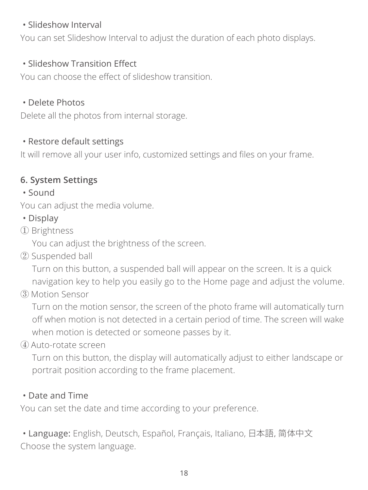#### • Slideshow Interval

You can set Slideshow Interval to adjust the duration of each photo displays.

#### • Slideshow Transition Effect

You can choose the effect of slideshow transition.

#### • Delete Photos

Delete all the photos from internal storage.

#### • Restore default settings

It will remove all your user info, customized settings and files on your frame.

# **6. System Settings**

• Sound

You can adjust the media volume.

- Display
- ① Brightness

You can adjust the brightness of the screen.

② Suspended ball

 Turn on this button, a suspended ball will appear on the screen. It is a quick navigation key to help you easily go to the Home page and adjust the volume.

③ Motion Sensor

 Turn on the motion sensor, the screen of the photo frame will automatically turn off when motion is not detected in a certain period of time. The screen will wake when motion is detected or someone passes by it.

④ Auto-rotate screen

 Turn on this button, the display will automatically adjust to either landscape or portrait position according to the frame placement.

# • Date and Time

You can set the date and time according to your preference.

 • Language: English, Deutsch, Español, Français, Italiano, 日本語,简体中文 Choose the system language.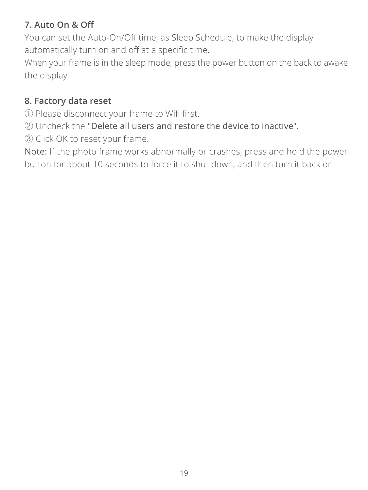# **7. Auto On & Off**

You can set the Auto-On/Off time, as Sleep Schedule, to make the display automatically turn on and off at a specific time.

When your frame is in the sleep mode, press the power button on the back to awake the display.

#### **8. Factory data reset**

① Please disconnect your frame to Wifi first.

② Uncheck the "Delete all users and restore the device to inactive".

③ Click OK to reset your frame.

Note: If the photo frame works abnormally or crashes, press and hold the power button for about 10 seconds to force it to shut down, and then turn it back on.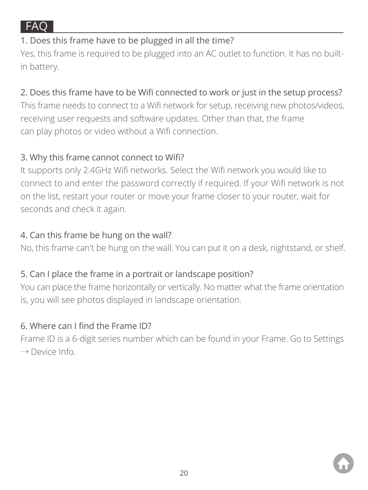

#### 1. Does this frame have to be plugged in all the time?

Yes, this frame is required to be plugged into an AC outlet to function. It has no builtin battery.

# 2. Does this frame have to be Wifi connected to work or just in the setup process?

This frame needs to connect to a Wifi network for setup, receiving new photos/videos, receiving user requests and software updates. Other than that, the frame can play photos or video without a Wifi connection.

#### 3. Why this frame cannot connect to Wifi?

It supports only 2.4GHz Wifi networks. Select the Wifi network you would like to connect to and enter the password correctly if required. If your Wifi network is not on the list, restart your router or move your frame closer to your router, wait for seconds and check it again.

#### 4. Can this frame be hung on the wall?

No, this frame can't be hung on the wall. You can put it on a desk, nightstand, or shelf.

#### 5. Can I place the frame in a portrait or landscape position?

You can place the frame horizontally or vertically. No matter what the frame orientation is, you will see photos displayed in landscape orientation.

#### 6. Where can I find the Frame ID?

Frame ID is a 6-digit series number which can be found in your Frame. Go to Settings → Device Info.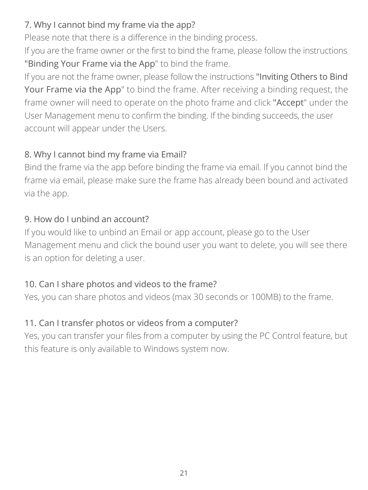# 7. Why I cannot bind my frame via the app?

Please note that there is a difference in the binding process.

If you are the frame owner or the first to bind the frame, please follow the instructions "Binding Your Frame via the App" to bind the frame.

If you are not the frame owner, please follow the instructions "Inviting Others to Bind Your Frame via the App" to bind the frame. After receiving a binding request, the frame owner will need to operate on the photo frame and click "Accept" under the User Management menu to confirm the binding. If the binding succeeds, the user account will appear under the Users.

# 8. Why I cannot bind my frame via Email?

Bind the frame via the app before binding the frame via email. If you cannot bind the frame via email, please make sure the frame has already been bound and activated via the app.

# 9. How do I unbind an account?

If you would like to unbind an Email or app account, please go to the User Management menu and click the bound user you want to delete, you will see there is an option for deleting a user.

# 10. Can I share photos and videos to the frame?

Yes, you can share photos and videos (max 30 seconds or 100MB) to the frame.

# 11. Can I transfer photos or videos from a computer?

Yes, you can transfer your files from a computer by using the PC Control feature, but this feature is only available to Windows system now.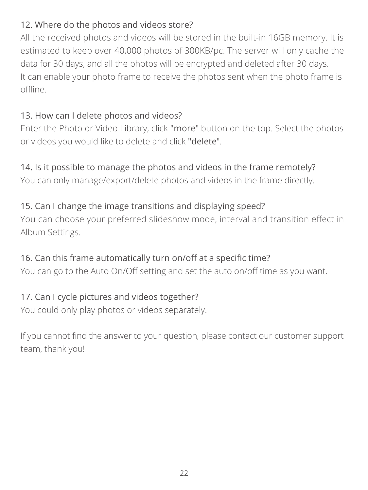# 12. Where do the photos and videos store?

All the received photos and videos will be stored in the built-in 16GB memory. It is estimated to keep over 40,000 photos of 300KB/pc. The server will only cache the data for 30 days, and all the photos will be encrypted and deleted after 30 days. It can enable your photo frame to receive the photos sent when the photo frame is offline.

# 13. How can I delete photos and videos?

Enter the Photo or Video Library, click "more" button on the top. Select the photos or videos you would like to delete and click "delete".

# 14. Is it possible to manage the photos and videos in the frame remotely?

You can only manage/export/delete photos and videos in the frame directly.

# 15. Can I change the image transitions and displaying speed?

You can choose your preferred slideshow mode, interval and transition effect in Album Settings.

# 16. Can this frame automatically turn on/off at a specific time?

You can go to the Auto On/Off setting and set the auto on/off time as you want.

# 17. Can I cycle pictures and videos together?

You could only play photos or videos separately.

If you cannot find the answer to your question, please contact our customer support team, thank you!